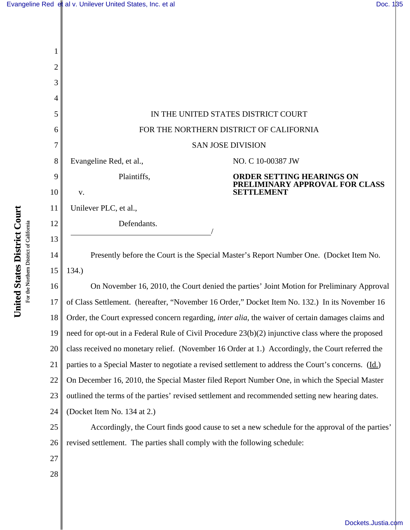| 2  |                                                                                                            |  |  |
|----|------------------------------------------------------------------------------------------------------------|--|--|
| 3  |                                                                                                            |  |  |
| 4  |                                                                                                            |  |  |
| 5  | IN THE UNITED STATES DISTRICT COURT                                                                        |  |  |
| 6  | FOR THE NORTHERN DISTRICT OF CALIFORNIA                                                                    |  |  |
| 7  | <b>SAN JOSE DIVISION</b>                                                                                   |  |  |
| 8  | NO. C 10-00387 JW<br>Evangeline Red, et al.,                                                               |  |  |
| 9  | Plaintiffs,<br><b>ORDER SETTING HEARINGS ON</b><br>PRELIMINARY APPROVAL FOR CLASS                          |  |  |
| 10 | <b>SETTLEMENT</b><br>V.                                                                                    |  |  |
| 11 | Unilever PLC, et al.,                                                                                      |  |  |
| 12 | Defendants.                                                                                                |  |  |
| 13 |                                                                                                            |  |  |
| 14 | Presently before the Court is the Special Master's Report Number One. (Docket Item No.                     |  |  |
| 15 | 134.                                                                                                       |  |  |
| 16 | On November 16, 2010, the Court denied the parties' Joint Motion for Preliminary Approval                  |  |  |
| 17 | of Class Settlement. (hereafter, "November 16 Order," Docket Item No. 132.) In its November 16             |  |  |
| 18 | Order, the Court expressed concern regarding, <i>inter alia</i> , the waiver of certain damages claims and |  |  |
| 19 | need for opt-out in a Federal Rule of Civil Procedure 23(b)(2) injunctive class where the proposed         |  |  |
| 20 | class received no monetary relief. (November 16 Order at 1.) Accordingly, the Court referred the           |  |  |
| 21 | parties to a Special Master to negotiate a revised settlement to address the Court's concerns. (Id.)       |  |  |
| 22 | On December 16, 2010, the Special Master filed Report Number One, in which the Special Master              |  |  |
| 23 | outlined the terms of the parties' revised settlement and recommended setting new hearing dates.           |  |  |
| 24 | (Docket Item No. 134 at 2.)                                                                                |  |  |
| 25 | Accordingly, the Court finds good cause to set a new schedule for the approval of the parties'             |  |  |
| 26 | revised settlement. The parties shall comply with the following schedule:                                  |  |  |
| 27 |                                                                                                            |  |  |
| 28 |                                                                                                            |  |  |
|    |                                                                                                            |  |  |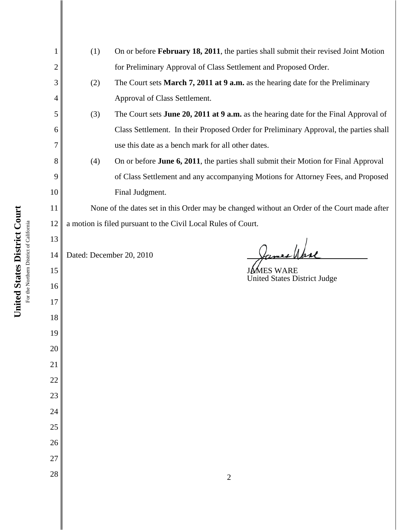| 1  | (1)<br>On or before February 18, 2011, the parties shall submit their revised Joint Motion  |                                                                                       |  |  |
|----|---------------------------------------------------------------------------------------------|---------------------------------------------------------------------------------------|--|--|
| 2  |                                                                                             | for Preliminary Approval of Class Settlement and Proposed Order.                      |  |  |
| 3  | (2)                                                                                         | The Court sets March 7, 2011 at 9 a.m. as the hearing date for the Preliminary        |  |  |
| 4  |                                                                                             | Approval of Class Settlement.                                                         |  |  |
| 5  | (3)                                                                                         | The Court sets June 20, 2011 at 9 a.m. as the hearing date for the Final Approval of  |  |  |
| 6  |                                                                                             | Class Settlement. In their Proposed Order for Preliminary Approval, the parties shall |  |  |
| 7  | use this date as a bench mark for all other dates.                                          |                                                                                       |  |  |
| 8  | On or before June 6, 2011, the parties shall submit their Motion for Final Approval<br>(4)  |                                                                                       |  |  |
| 9  | of Class Settlement and any accompanying Motions for Attorney Fees, and Proposed            |                                                                                       |  |  |
| 10 |                                                                                             | Final Judgment.                                                                       |  |  |
| 11 | None of the dates set in this Order may be changed without an Order of the Court made after |                                                                                       |  |  |
| 12 | a motion is filed pursuant to the Civil Local Rules of Court.                               |                                                                                       |  |  |
| 13 |                                                                                             |                                                                                       |  |  |
| 14 | Dated: December 20, 2010                                                                    |                                                                                       |  |  |
| 15 |                                                                                             | JÁMES WARE<br><b>United States District Judge</b>                                     |  |  |
| 16 |                                                                                             |                                                                                       |  |  |
| 17 |                                                                                             |                                                                                       |  |  |
| 18 |                                                                                             |                                                                                       |  |  |
| 19 |                                                                                             |                                                                                       |  |  |
| 20 |                                                                                             |                                                                                       |  |  |
| 21 |                                                                                             |                                                                                       |  |  |
| 22 |                                                                                             |                                                                                       |  |  |
| 23 |                                                                                             |                                                                                       |  |  |
| 24 |                                                                                             |                                                                                       |  |  |
| 25 |                                                                                             |                                                                                       |  |  |
| 26 |                                                                                             |                                                                                       |  |  |
| 27 |                                                                                             |                                                                                       |  |  |
| 28 |                                                                                             | $\mathbf{2}$                                                                          |  |  |

United States District Court **United States District Court** For the Northern District of California For the Northern District of California